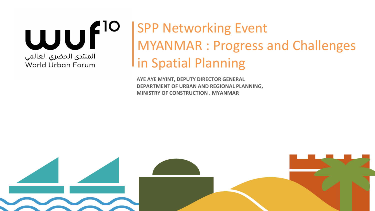

# SPP Networking Event MYANMAR : Progress and Challenges I in Spatial Planning

**AYE AYE MYINT, DEPUTY DIRECTOR GENERAL DEPARTMENT OF URBAN AND REGIONAL PLANNING, MINISTRY OF CONSTRUCTION . MYANMAR**

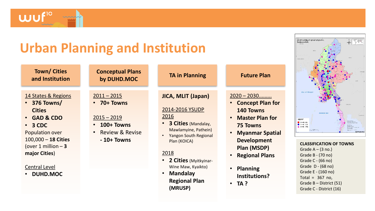## **Urban Planning and Institution**

**Conceptual Plans** 

**Town/ Cities and Institution**

**UJU** 

#### 14 States & Regions

- **376 Towns/ Cities**
- **GAD & CDO**
- **3 CDC** Population over 100,000 – **18 Cities** (over 1 million – **3 major Cities**)

#### Central Level

• **DUHD.MOC**

# 2011 – 2015

• **70+ Towns**

#### $2015 - 2019$

- **100+ Towns**
- Review & Revise
	- **- 10+ Towns**

### **by DUHD.MOC TA in Planning Future Plan**

### **JICA, MLIT (Japan)**

#### 2014-2016 YSUDP 2016

- **3 Cities** (Mandalay, Mawlamyine, Pathein)
- Yangon South Regional Plan (KOICA)

#### 2018

- **2 Cities** (Myitkyinar-Wine Maw, Kyaikto)
- **Mandalay Regional Plan (MRUSP)**

#### 2020 – 2030.........

- **Concept Plan for 140 Towns**
- **Master Plan for 75 Towns**
- **Myanmar Spatial Development Plan (MSDP)**
- **Regional Plans**
- **Planning Institutions?**
- **TA ?**

# **Paul of Bann** stated  $\begin{array}{c} 0 \text{ } 0 \rightarrow 0.08 \\ 0 \rightarrow 0.08 \end{array}$  $13 - 46 - 665$

#### **CLASSIFICATION OF TOWNS** Grade  $A - (3 \text{ no.})$ Grade B - (70 no) Grade C - (66 no) Grade D - (68 no) Grade E - (160 no) Total =  $367$  no,

- Grade C District (16)
- Grade B District (51)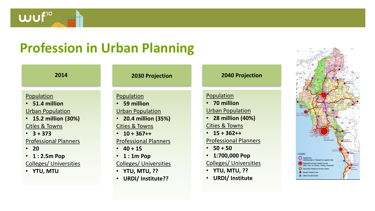### **Profession in Urban Planning**

#### Population

wuf<sup>10</sup>

- **51.4 million** Urban Population
- **15.2 million (30%)** Cities & Towns
- **3 + 373**

### Professional Planners

- **20**
- **1 : 2.5m Pop** Colleges/ Universities
- **YTU, MTU**

### **2014 2030 Projection 2040 Projection**

### Population

- **59 million**
- Urban Population
- **20.4 million (35%)**

Cities & Towns

• **10 + 367++**

### Professional Planners

- **40 + 15**
- **1 : 1m Pop** Colleges/ Universities
- **YTU, MTU, ??**
- **URDI/ Institute??**

### Population

- **70 million** Urban Population
- **28 million (40%)**

Cities & Towns

• **15 + 362++**

Professional Planners

- **50 + 50**
- **1:700,000 Pop**

Colleges/ Universities

- **YTU, MTU, ??**
- **URDI/ Institute**

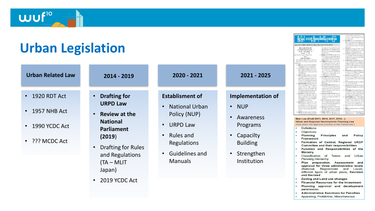**Urban Legislation**

wuf<sup>10</sup>

| <b>Urban Related Law</b>                     | 2014 - 2019                                                    | 2020 - 2021                                     | 2021 - 2025                                         | the Calvers Wall and Seventhal chair<br><b>Interested district saids</b><br>isht liver ophenfieder bandbereit<br><b>statione@</b> disclarikial.edulio<br>and substitut weedwalker<br>calls executively maintend fresh<br>als shaking boods infor hadrotte<br>same manes women services<br>Melekalar kinometer -<br>lbo) dazle ubarradnji substabila<br>ard accordanced calcul<br>New Law (Draft 2015, 2016, 2017, 2018)<br><b>Urban and Regional Development Planning Law</b><br>(now under the approval process at the Parliament)<br><b>Definitions</b><br><b>Objectives</b><br>Planning<br><b>Principles</b><br>Policy<br>and<br><b>Framework</b><br>Formation of Central, Regional URDF<br><b>Committee and their responsibilities</b> |
|----------------------------------------------|----------------------------------------------------------------|-------------------------------------------------|-----------------------------------------------------|--------------------------------------------------------------------------------------------------------------------------------------------------------------------------------------------------------------------------------------------------------------------------------------------------------------------------------------------------------------------------------------------------------------------------------------------------------------------------------------------------------------------------------------------------------------------------------------------------------------------------------------------------------------------------------------------------------------------------------------------|
| $\cdot$ 1920 RDT Act<br>$\cdot$ 1957 NHB Act | <b>Drafting for</b><br><b>URPD Law</b>                         | <b>Establisment of</b><br><b>National Urban</b> | <b>Implementation of</b><br><b>NUP</b><br>$\bullet$ |                                                                                                                                                                                                                                                                                                                                                                                                                                                                                                                                                                                                                                                                                                                                            |
| 1990 YCDC Act                                | Review at the<br><b>National</b><br>Parliament<br>(2019)       | Policy (NUP)<br><b>URPD Law</b>                 | Awareness<br>Programs                               |                                                                                                                                                                                                                                                                                                                                                                                                                                                                                                                                                                                                                                                                                                                                            |
| • ??? MCDC Act                               |                                                                | Rules and<br>$\bullet$<br>Regulations           | Capacilty<br><b>Building</b>                        |                                                                                                                                                                                                                                                                                                                                                                                                                                                                                                                                                                                                                                                                                                                                            |
|                                              | Drafting for Rules<br>and Regulations<br>$(TA - ML)$<br>Japan) | Guidelines and<br><b>Manuals</b>                | • Strengthen<br>Institution                         | Function and Responsibilities of the<br><b>Ministry</b><br>Classification of Towns and Urbar<br><b>Planning Hierarchy</b><br>Plan preparation, Assessment and<br>approval for three administrative levels<br>(National, Region/state and Local)<br>different types of urban plans, Revision<br>and Revised                                                                                                                                                                                                                                                                                                                                                                                                                                 |
|                                              | • 2019 YCDC Act                                                |                                                 |                                                     | <b>Zoning and Land use changes</b><br><b>Financial Resources for the Investment</b><br>Planning approval and development                                                                                                                                                                                                                                                                                                                                                                                                                                                                                                                                                                                                                   |

| a. oc<br>າະອົບຕົວໂະວບຣອໄຕງບະ                                                                                                                                                                                                                                                                                                                                                                                                                                                                                                                                                                                                                | verlyfelwyrffen Abvellelliau spen<br>statestic labor is absorbed<br>lean suite de droits<br>(n) Brital Gd christmas age in agreed                                                                                                                                                                                                                                                                                                                                                                                                                   |
|---------------------------------------------------------------------------------------------------------------------------------------------------------------------------------------------------------------------------------------------------------------------------------------------------------------------------------------------------------------------------------------------------------------------------------------------------------------------------------------------------------------------------------------------------------------------------------------------------------------------------------------------|-----------------------------------------------------------------------------------------------------------------------------------------------------------------------------------------------------------------------------------------------------------------------------------------------------------------------------------------------------------------------------------------------------------------------------------------------------------------------------------------------------------------------------------------------------|
| Edward any durating of dispose (21 december                                                                                                                                                                                                                                                                                                                                                                                                                                                                                                                                                                                                 | նդգրդ ծողմալըդ[խգացմ գ <u>մգ</u> մ <u>մ</u> գնդմ<br>and an advanced of the changes and a fait of ad-<br>whether call a folk shaded white Mann                                                                                                                                                                                                                                                                                                                                                                                                       |
| die admostration/di sitalogist<br>about your coupled to think<br>ndi-fa-f-dods                                                                                                                                                                                                                                                                                                                                                                                                                                                                                                                                                              | millet deale<br>$\label{eq:1} \begin{split} \langle w \rangle = & \frac{1}{2} \sqrt{2} \frac{1}{2} \frac{1}{2} \frac{1}{2} \left( \frac{1}{2} \frac{1}{2} \frac{1}{2} \frac{1}{2} \frac{1}{2} \frac{1}{2} \frac{1}{2} \frac{1}{2} \frac{1}{2} \frac{1}{2} \frac{1}{2} \frac{1}{2} \frac{1}{2} \frac{1}{2} \frac{1}{2} \frac{1}{2} \frac{1}{2} \frac{1}{2} \frac{1}{2} \frac{1}{2} \frac{1}{2} \frac{1}{2} \frac{1}{2} \frac{1$<br>abbayi mifeyiku) dool aerrigi<br>with players with the player<br>(a) advertised city in the solid distribution of |
| (+) Baladienswomenhoffed sales Saturdit sa<br>lyst nimerinelly (hysimal                                                                                                                                                                                                                                                                                                                                                                                                                                                                                                                                                                     | qivanlarid (dininlarda ayo aliyi)<br>white drams related republies<br>smallers whethald deals                                                                                                                                                                                                                                                                                                                                                                                                                                                       |
| highed offices accountable block<br>( t) ob dight field substitute for the planet with and<br>and administrational control<br>also confine make more changes allowed only<br>խանոթակայացի գնացությետի գնում<br>դրբեսնակի ազմզերեն կատահագրությ                                                                                                                                                                                                                                                                                                                                                                                              | [4] seedbeenheldingly (floods/fadbernhild<br>enigs satisful services alarges as<br>which decrease in the control of the con-<br>Call Group College and a Call Acts<br>alablam klal matheamlatclaid (                                                                                                                                                                                                                                                                                                                                                |
| monday by bending or GD 600 & about<br>advers representación emblemátic<br>relation as a compelled a classe<br>subblations while block                                                                                                                                                                                                                                                                                                                                                                                                                                                                                                      | days.<br>(+) Infarmedidation (South) light) when<br>dansfiguriale adaptive orbidies<br>and hitlered ridd bid<br>(+) Berlinfolarsemented dozier related                                                                                                                                                                                                                                                                                                                                                                                              |
| int models the factories by Hidward a hour<br>believing and specifically related<br>avantas alactoral derivativ 40<br>tgändelet suidt mokkelimen.<br><b>Billet</b> Andr                                                                                                                                                                                                                                                                                                                                                                                                                                                                     | alulus areas that air diges adult corresp<br>whele spoken addenvisement<br>[+] spidenessperied dyale light-face(light)<br>mounted sized dock                                                                                                                                                                                                                                                                                                                                                                                                        |
| (c) advantiationalizamental color to<br>state typically exposured and form layed<br>reference of the letter project<br>releaterfunnitel minder foreign<br>sold wormhand about-                                                                                                                                                                                                                                                                                                                                                                                                                                                              | [1] al-\$malmending shoulders a flamellistical actions<br>foliolistical ad al higher civil and a heal<br>$\vert n \rangle$ indicately<br>and $\psi \psi \psi$ gives indicate the<br>single archaeolan urbyhalghanis                                                                                                                                                                                                                                                                                                                                 |
| [1] speed by-remijinsminstration size.<br>ap same manay annon ap talpinal<br>as loting or graphy of a relations of<br>add district                                                                                                                                                                                                                                                                                                                                                                                                                                                                                                          | adaantafkan (linning) dariilijfiniladanaty.<br>Ana antafiyasi darkaantafiyahel dinila<br>(a) therebelledied during between lives<br>and therefore the numbership                                                                                                                                                                                                                                                                                                                                                                                    |
| $\label{eq:1} \begin{array}{l} \left(\begin{smallmatrix} 1\\ 1 \end{smallmatrix}\right) \frac{1}{2} \frac{1}{2} \sqrt{2} \left(\begin{smallmatrix} 1\\ 1 \end{smallmatrix}\right) \frac{1}{2} \frac{1}{2} \left(\begin{smallmatrix} 1\\ 1 \end{smallmatrix}\right) \frac{1}{2} \frac{1}{2} \left(\begin{smallmatrix} 1\\ 1 \end{smallmatrix}\right) \frac{1}{2} \frac{1}{2} \left(\begin{smallmatrix} 1\\ 1 \end{smallmatrix}\right) \frac{1}{2} \left(\begin{smallmatrix} 1\\ 1 \end{smallmatrix}\right) \frac{1}{2} \left(\begin{$<br>od mapdebolise spilde<br>dentaged displayed that a laying displayers<br>who have a president of the | seripted untille forthworth deads<br>lignification connected developed groups<br>what nicken where is slided deal-<br>(a) Black drope labor reservation of                                                                                                                                                                                                                                                                                                                                                                                          |
| (+) distribution result which places and<br>the beachtered with his<br>the company's company's company's                                                                                                                                                                                                                                                                                                                                                                                                                                                                                                                                    | (x) allignations approvised a control newly                                                                                                                                                                                                                                                                                                                                                                                                                                                                                                         |

#### $2017, 2018...$ pment Planning Law

Ster - Promotion of a sign game  $\begin{array}{l} \left( \begin{array}{c} \log \left( \frac{1}{2} \arctan \left( \frac{1}{2} \arctan \left( \frac{1}{2} \arctan \left( \frac{1}{2} \arctan \left( \frac{1}{2} \arctan \left( \frac{1}{2} \arctan \left( \frac{1}{2} \arctan \left( \frac{1}{2} \arctan \left( \frac{1}{2} \arctan \left( \frac{1}{2} \arctan \left( \frac{1}{2} \arctan \left( \frac{1}{2} \arctan \left( \frac{1}{2} \arctan \left( \frac{1}{2} \arctan \left( \frac$ 

- iples and Policy
- ntral, Regional URDP eir responsibilities
- esponsibilities of the
- Towns and Urban
- n, Assessment and e administrative levels in/state and Local), urban plans, Revision
- use changes
- ces for the Investment
- al and development permission.
- **Administrative Sanctions for Penalties**  $\cdot$  $\ddot{\phantom{1}}$ Appealing, Prohibition, Miscellaneous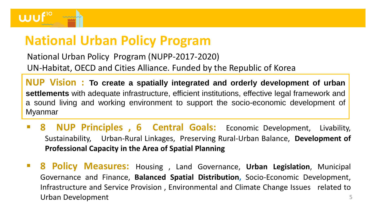

## **National Urban Policy Program**

National Urban Policy Program (NUPP-2017-2020) UN-Habitat, OECD and Cities Alliance. Funded by the Republic of Korea

**NUP Vision : To create a spatially integrated and orderly development of urban settlements** with adequate infrastructure, efficient institutions, effective legal framework and a sound living and working environment to support the socio-economic development of Myanmar

- **8 NUP Principles , 6 Central Goals:** Economic Development, Livability, Sustainability, Urban-Rural Linkages, Preserving Rural-Urban Balance, **Development of Professional Capacity in the Area of Spatial Planning**
- 5 ▪ **8 Policy Measures:** Housing , Land Governance, **Urban Legislation**, Municipal Governance and Finance, **Balanced Spatial Distribution,** Socio-Economic Development, Infrastructure and Service Provision , Environmental and Climate Change Issues related to Urban Development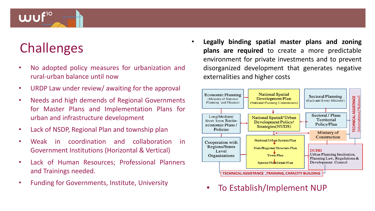## **Challenges**

**WU** 

- No adopted policy measures for urbanization and rural-urban balance until now
- URDP Law under review/ awaiting for the approval
- Needs and high demends of Regional Governments for Master Plans and Implementation Plans for urban and infrastructure development
- Lack of NSDP, Regional Plan and township plan
- Weak in coordination and collaboration in Government Institutions (Horizontal & Vertical)
- Lack of Human Resources; Professional Planners and Trainings needed.
- Funding for Governments, Institute, University

• **Legally binding spatial master plans and zoning plans are required** to create a more predictable environment for private investments and to prevent disorganized development that generates negative externalities and higher costs



• To Establish/Implement NUP